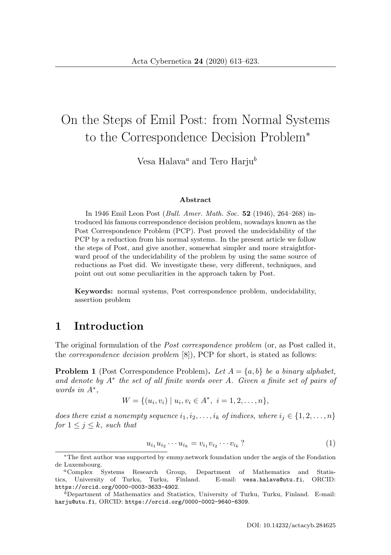# On the Steps of Emil Post: from Normal Systems to the Correspondence Decision Problem<sup>∗</sup>

Vesa Halava<sup>a</sup> and Tero Harju<sup>b</sup>

#### **Abstract**

In 1946 Emil Leon Post (Bull. Amer. Math. Soc. **52** (1946), 264–268) introduced his famous correspondence decision problem, nowadays known as the Post Correspondence Problem (PCP). Post proved the undecidability of the PCP by a reduction from his normal systems. In the present article we follow the steps of Post, and give another, somewhat simpler and more straightforward proof of the undecidability of the problem by using the same source of reductions as Post did. We investigate these, very different, techniques, and point out out some peculiarities in the approach taken by Post.

**Keywords:** normal systems, Post correspondence problem, undecidability, assertion problem

### **1 Introduction**

The original formulation of the *Post correspondence problem* (or, as Post called it, the correspondence decision problem [8]), PCP for short, is stated as follows:

**Problem 1** (Post Correspondence Problem). Let  $A = \{a, b\}$  be a binary alphabet, and denote by  $A^*$  the set of all finite words over A. Given a finite set of pairs of words in A∗,

$$
W = \{(u_i, v_i) \mid u_i, v_i \in A^*, \ i = 1, 2, \dots, n\},\
$$

does there exist a nonempty sequence  $i_1, i_2, \ldots, i_k$  of indices, where  $i_j \in \{1, 2, \ldots, n\}$ for  $1 \leq j \leq k$ , such that

$$
u_{i_1} u_{i_2} \cdots u_{i_k} = v_{i_1} v_{i_2} \cdots v_{i_k} ? \tag{1}
$$

<sup>∗</sup>The first author was supported by emmy.network foundation under the aegis of the Fondation de Luxembourg.

<sup>a</sup>Complex Systems Research Group, Department of Mathematics and Statistics, University of Turku, Turku, Finland. E-mail: vesa.halava@utu.fi, ORCID: https://orcid.org/0000-0003-3633-4902.

 $b$ Department of Mathematics and Statistics, University of Turku, Turku, Finland. E-mail: harju@utu.fi, ORCID: https://orcid.org/0000-0002-9640-6309.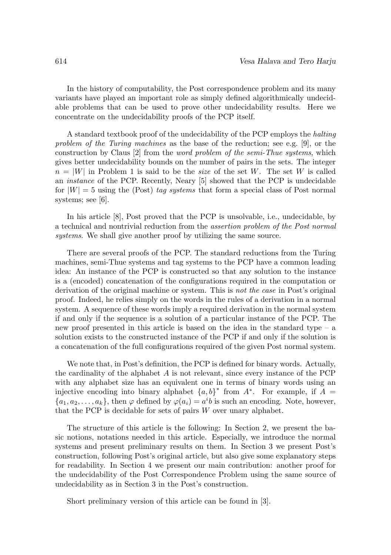In the history of computability, the Post correspondence problem and its many variants have played an important role as simply defined algorithmically undecidable problems that can be used to prove other undecidability results. Here we concentrate on the undecidability proofs of the PCP itself.

A standard textbook proof of the undecidability of the PCP employs the halting problem of the Turing machines as the base of the reduction; see e.g. [9], or the construction by Claus [2] from the word problem of the semi-Thue systems, which gives better undecidability bounds on the number of pairs in the sets. The integer  $n = |W|$  in Problem 1 is said to be the size of the set W. The set W is called an instance of the PCP. Recently, Neary [5] showed that the PCP is undecidable for  $|W| = 5$  using the (Post) tag systems that form a special class of Post normal systems; see [6].

In his article [8], Post proved that the PCP is unsolvable, i.e., undecidable, by a technical and nontrivial reduction from the assertion problem of the Post normal systems. We shall give another proof by utilizing the same source.

There are several proofs of the PCP. The standard reductions from the Turing machines, semi-Thue systems and tag systems to the PCP have a common leading idea: An instance of the PCP is constructed so that any solution to the instance is a (encoded) concatenation of the configurations required in the computation or derivation of the original machine or system. This is not the case in Post's original proof. Indeed, he relies simply on the words in the rules of a derivation in a normal system. A sequence of these words imply a required derivation in the normal system if and only if the sequence is a solution of a particular instance of the PCP. The new proof presented in this article is based on the idea in the standard type – a solution exists to the constructed instance of the PCP if and only if the solution is a concatenation of the full configurations required of the given Post normal system.

We note that, in Post's definition, the PCP is defined for binary words. Actually, the cardinality of the alphabet  $A$  is not relevant, since every instance of the PCP with any alphabet size has an equivalent one in terms of binary words using an injective encoding into binary alphabet  $\{a, b\}^*$  from  $A^*$ . For example, if  $A =$  $\{a_1, a_2, \ldots, a_k\}$ , then  $\varphi$  defined by  $\varphi(a_i) = a^i b$  is such an encoding. Note, however, that the PCP is decidable for sets of pairs  $W$  over unary alphabet.

The structure of this article is the following: In Section 2, we present the basic notions, notations needed in this article. Especially, we introduce the normal systems and present preliminary results on them. In Section 3 we present Post's construction, following Post's original article, but also give some explanatory steps for readability. In Section 4 we present our main contribution: another proof for the undecidability of the Post Correspondence Problem using the same source of undecidability as in Section 3 in the Post's construction.

Short preliminary version of this article can be found in [3].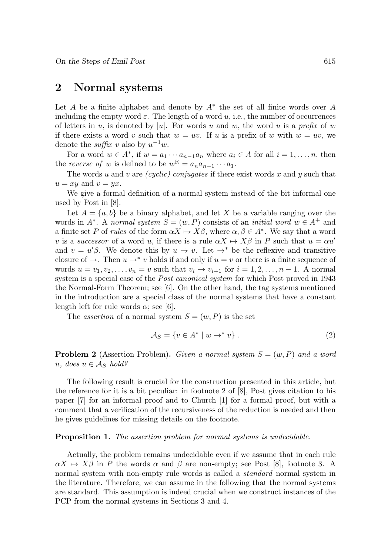#### **2 Normal systems**

Let A be a finite alphabet and denote by  $A^*$  the set of all finite words over A including the empty word  $\varepsilon$ . The length of a word u, i.e., the number of occurrences of letters in u, is denoted by |u|. For words u and w, the word u is a prefix of w if there exists a word v such that  $w = uv$ . If u is a prefix of w with  $w = uv$ , we denote the *suffix* v also by  $u^{-1}w$ .

For a word  $w \in A^*$ , if  $w = a_1 \cdots a_{n-1} a_n$  where  $a_i \in A$  for all  $i = 1, \ldots, n$ , then the reverse of w is defined to be  $w^R = a_n a_{n-1} \cdots a_1$ .

The words u and v are *(cyclic) conjugates* if there exist words x and y such that  $u = xy$  and  $v = yx$ .

We give a formal definition of a normal system instead of the bit informal one used by Post in [8].

Let  $A = \{a, b\}$  be a binary alphabet, and let X be a variable ranging over the words in  $A^*$ . A normal system  $S = (w, P)$  consists of an *initial word*  $w \in A^+$  and a finite set P of rules of the form  $\alpha X \mapsto X\beta$ , where  $\alpha, \beta \in A^*$ . We say that a word v is a successor of a word u, if there is a rule  $\alpha X \mapsto X\beta$  in P such that  $u = \alpha u'$ and  $v = u'\beta$ . We denote this by  $u \to v$ . Let  $\rightarrow^*$  be the reflexive and transitive closure of  $\rightarrow$ . Then  $u \rightarrow^* v$  holds if and only if  $u = v$  or there is a finite sequence of words  $u = v_1, v_2, \ldots, v_n = v$  such that  $v_i \rightarrow v_{i+1}$  for  $i = 1, 2, \ldots, n-1$ . A normal system is a special case of the *Post canonical system* for which Post proved in 1943 the Normal-Form Theorem; see [6]. On the other hand, the tag systems mentioned in the introduction are a special class of the normal systems that have a constant length left for rule words  $\alpha$ ; see [6].

The *assertion* of a normal system  $S = (w, P)$  is the set

$$
\mathcal{A}_S = \{ v \in A^* \mid w \to^* v \} . \tag{2}
$$

**Problem 2** (Assertion Problem). Given a normal system  $S = (w, P)$  and a word u, does  $u \in A_S$  hold?

The following result is crucial for the construction presented in this article, but the reference for it is a bit peculiar: in footnote 2 of [8], Post gives citation to his paper [7] for an informal proof and to Church [1] for a formal proof, but with a comment that a verification of the recursiveness of the reduction is needed and then he gives guidelines for missing details on the footnote.

#### **Proposition 1.** The assertion problem for normal systems is undecidable.

Actually, the problem remains undecidable even if we assume that in each rule  $\alpha X \mapsto X\beta$  in P the words  $\alpha$  and  $\beta$  are non-empty; see Post [8], footnote 3. A normal system with non-empty rule words is called a *standard* normal system in the literature. Therefore, we can assume in the following that the normal systems are standard. This assumption is indeed crucial when we construct instances of the PCP from the normal systems in Sections 3 and 4.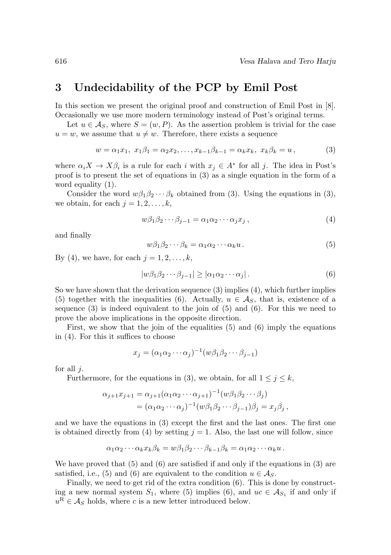### **3 Undecidability of the PCP by Emil Post**

In this section we present the original proof and construction of Emil Post in [8]. Occasionally we use more modern terminology instead of Post's original terms.

Let  $u \in A_S$ , where  $S = (w, P)$ . As the assertion problem is trivial for the case  $u = w$ , we assume that  $u \neq w$ . Therefore, there exists a sequence

$$
w = \alpha_1 x_1, \ x_1 \beta_1 = \alpha_2 x_2, \dots, x_{k-1} \beta_{k-1} = \alpha_k x_k, \ x_k \beta_k = u,
$$
 (3)

where  $\alpha_i X \to X \beta_i$  is a rule for each i with  $x_j \in A^*$  for all j. The idea in Post's proof is to present the set of equations in (3) as a single equation in the form of a word equality (1).

Consider the word  $w\beta_1\beta_2\cdots\beta_k$  obtained from (3). Using the equations in (3), we obtain, for each  $j = 1, 2, \ldots, k$ ,

$$
w\beta_1\beta_2\cdots\beta_{j-1} = \alpha_1\alpha_2\cdots\alpha_jx_j, \qquad (4)
$$

and finally

$$
w\beta_1\beta_2\cdots\beta_k = \alpha_1\alpha_2\cdots\alpha_k u. \tag{5}
$$

By (4), we have, for each  $j = 1, 2, \ldots, k$ ,

$$
|w\beta_1\beta_2\cdots\beta_{j-1}| \ge |\alpha_1\alpha_2\cdots\alpha_j|.
$$
 (6)

So we have shown that the derivation sequence (3) implies (4), which further implies (5) together with the inequalities (6). Actually,  $u \in \mathcal{A}_S$ , that is, existence of a sequence  $(3)$  is indeed equivalent to the join of  $(5)$  and  $(6)$ . For this we need to prove the above implications in the opposite direction.

First, we show that the join of the equalities (5) and (6) imply the equations in (4). For this it suffices to choose

$$
x_j = (\alpha_1 \alpha_2 \cdots \alpha_j)^{-1} (w \beta_1 \beta_2 \cdots \beta_{j-1})
$$

for all  $i$ .

Furthermore, for the equations in (3), we obtain, for all  $1 \leq j \leq k$ ,

$$
\alpha_{j+1}x_{j+1} = \alpha_{j+1}(\alpha_1\alpha_2\cdots\alpha_{j+1})^{-1}(w\beta_1\beta_2\cdots\beta_j)
$$
  
=  $(\alpha_1\alpha_2\cdots\alpha_j)^{-1}(w\beta_1\beta_2\cdots\beta_{j-1})\beta_j = x_j\beta_j$ ,

and we have the equations in (3) except the first and the last ones. The first one is obtained directly from (4) by setting  $j = 1$ . Also, the last one will follow, since

$$
\alpha_1 \alpha_2 \cdots \alpha_k x_k \beta_k = w \beta_1 \beta_2 \cdots \beta_{k-1} \beta_k = \alpha_1 \alpha_2 \cdots \alpha_k u.
$$

We have proved that  $(5)$  and  $(6)$  are satisfied if and only if the equations in  $(3)$  are satisfied, i.e., (5) and (6) are equivalent to the condition  $u \in A_S$ .

Finally, we need to get rid of the extra condition (6). This is done by constructing a new normal system  $S_1$ , where (5) implies (6), and  $uc \in \mathcal{A}_{S_1}$  if and only if  $u^R \in \mathcal{A}_S$  holds, where c is a new letter introduced below.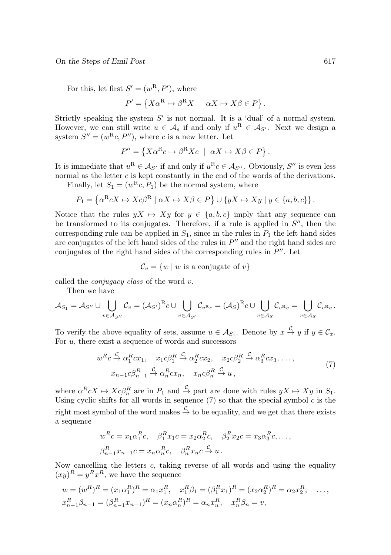For this, let first  $S' = (w^R, P')$ , where

$$
P' = \{X\alpha^{\mathcal{R}} \mapsto \beta^{\mathcal{R}} X \mid \alpha X \mapsto X\beta \in P\}.
$$

Strictly speaking the system  $S'$  is not normal. It is a 'dual' of a normal system. However, we can still write  $u \in \mathcal{A}_s$  if and only if  $u^R \in \mathcal{A}_{S'}$ . Next we design a system  $S'' = (w^{\rm R}c, P'')$ , where c is a new letter. Let

$$
P'' = \{ X\alpha^{\mathcal{R}}c \mapsto \beta^{\mathcal{R}}Xc \mid \alpha X \mapsto X\beta \in P \}.
$$

It is immediate that  $u^R \in A_{S'}$  if and only if  $u^R c \in A_{S''}$ . Obviously, S'' is even less normal as the letter  $c$  is kept constantly in the end of the words of the derivations.

Finally, let  $S_1 = (w^{\mathcal{R}}c, P_1)$  be the normal system, where

$$
P_1 = \left\{ \alpha^{\rm R} c X \mapsto X c \beta^{\rm R} \mid \alpha X \mapsto X \beta \in P \right\} \cup \left\{ y X \mapsto X y \mid y \in \{a, b, c\} \right\}.
$$

Notice that the rules  $yX \mapsto Xy$  for  $y \in \{a, b, c\}$  imply that any sequence can be transformed to its conjugates. Therefore, if a rule is applied in  $S''$ , then the corresponding rule can be applied in  $S_1$ , since in the rules in  $P_1$  the left hand sides are conjugates of the left hand sides of the rules in  $P''$  and the right hand sides are conjugates of the right hand sides of the corresponding rules in  $P''$ . Let

$$
\mathcal{C}_v = \{ w \mid w \text{ is a conjugate of } v \}
$$

called the conjugacy class of the word v.

Then we have

$$
\mathcal{A}_{S_1} = \mathcal{A}_{S''} \cup \bigcup_{v \in \mathcal{A}_{S''}} \mathcal{C}_v = (\mathcal{A}_{S'})^{\mathrm{R}} c \cup \bigcup_{v \in \mathcal{A}_{S'}} \mathcal{C}_{v^{\mathrm{R}}c} = (\mathcal{A}_{S})^{\mathrm{R}} c \cup \bigcup_{v \in \mathcal{A}_{S}} \mathcal{C}_{v^{\mathrm{R}}c} = \bigcup_{v \in \mathcal{A}_{S}} \mathcal{C}_{v^{\mathrm{R}}c}.
$$

To verify the above equality of sets, assume  $u \in \mathcal{A}_{S_1}$ . Denote by  $x \stackrel{C}{\to} y$  if  $y \in \mathcal{C}_x$ . For  $u$ , there exist a sequence of words and successors

$$
w^{R}c \xrightarrow{C} \alpha_{1}^{R}cx_{1}, \quad x_{1}c\beta_{1}^{R} \xrightarrow{C} \alpha_{2}^{R}cx_{2}, \quad x_{2}c\beta_{2}^{R} \xrightarrow{C} \alpha_{3}^{R}cx_{3}, \dots,
$$

$$
x_{n-1}c\beta_{n-1}^{R} \xrightarrow{C} \alpha_{n}^{R}cx_{n}, \quad x_{n}c\beta_{n}^{R} \xrightarrow{C} u,
$$

$$
(7)
$$

where  $\alpha^R c X \mapsto X c \beta_n^R$  are in  $P_1$  and  $\stackrel{\mathcal{C}}{\rightarrow}$  part are done with rules  $yX \mapsto Xy$  in  $S_1$ . Using cyclic shifts for all words in sequence  $(7)$  so that the special symbol c is the right most symbol of the word makes  $\stackrel{C}{\to}$  to be equality, and we get that there exists a sequence

$$
w^R c = x_1 \alpha_1^R c, \quad \beta_1^R x_1 c = x_2 \alpha_2^R c, \quad \beta_2^R x_2 c = x_3 \alpha_3^R c, \dots,
$$
  

$$
\beta_{n-1}^R x_{n-1} c = x_n \alpha_n^R c, \quad \beta_n^R x_n c \xrightarrow{c} u.
$$

Now cancelling the letters  $c$ , taking reverse of all words and using the equality  $(xy)^R = y^Rx^R$ , we have the sequence

$$
w = (w^R)^R = (x_1 \alpha_1^R)^R = \alpha_1 x_1^R, \quad x_1^R \beta_1 = (\beta_1^R x_1)^R = (x_2 \alpha_2^R)^R = \alpha_2 x_2^R, \quad \dots,
$$
  

$$
x_{n-1}^R \beta_{n-1} = (\beta_{n-1}^R x_{n-1})^R = (x_n \alpha_n^R)^R = \alpha_n x_n^R, \quad x_n^R \beta_n = v,
$$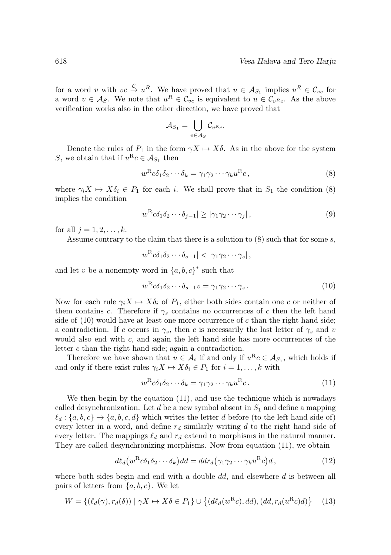for a word v with  $vc \overset{C}{\to} u^R$ . We have proved that  $u \in \mathcal{A}_{S_1}$  implies  $u^R \in \mathcal{C}_{vc}$  for a word  $v \in A_S$ . We note that  $u^R \in \mathcal{C}_{vc}$  is equivalent to  $u \in \mathcal{C}_{v^Rc}$ . As the above verification works also in the other direction, we have proved that

$$
\mathcal{A}_{S_1} = \bigcup_{v \in \mathcal{A}_S} \mathcal{C}_{v^{\mathcal{R}_c}}.
$$

Denote the rules of  $P_1$  in the form  $\gamma X \mapsto X\delta$ . As in the above for the system S, we obtain that if  $u^R c \in A_{S_1}$  then

$$
w^{\rm R} c \delta_1 \delta_2 \cdots \delta_k = \gamma_1 \gamma_2 \cdots \gamma_k u^{\rm R} c,\tag{8}
$$

where  $\gamma_i X \mapsto X \delta_i \in P_1$  for each i. We shall prove that in  $S_1$  the condition (8) implies the condition

$$
|w^{\rm R}c\delta_1\delta_2\cdots\delta_{j-1}| \ge |\gamma_1\gamma_2\cdots\gamma_j|,\tag{9}
$$

for all  $j = 1, 2, \ldots, k$ .

Assume contrary to the claim that there is a solution to  $(8)$  such that for some s,

 $|w^R c \delta_1 \delta_2 \cdots \delta_{s-1}| < |\gamma_1 \gamma_2 \cdots \gamma_s|$ 

and let v be a nonempty word in  $\{a, b, c\}^*$  such that

$$
w^{\rm R} c \delta_1 \delta_2 \cdots \delta_{s-1} v = \gamma_1 \gamma_2 \cdots \gamma_s.
$$
\n(10)

Now for each rule  $\gamma_i X \mapsto X \delta_i$  of  $P_1$ , either both sides contain one c or neither of them contains c. Therefore if  $\gamma_s$  contains no occurrences of c then the left hand side of  $(10)$  would have at least one more occurrence of c than the right hand side; a contradiction. If c occurs in  $\gamma_s$ , then c is necessarily the last letter of  $\gamma_s$  and v would also end with  $c$ , and again the left hand side has more occurrences of the letter c than the right hand side; again a contradiction.

Therefore we have shown that  $u \in \mathcal{A}_s$  if and only if  $u^R c \in \mathcal{A}_{S_1}$ , which holds if and only if there exist rules  $\gamma_i X \mapsto X \delta_i \in P_1$  for  $i = 1, \ldots, k$  with

$$
w^{\rm R} c \delta_1 \delta_2 \cdots \delta_k = \gamma_1 \gamma_2 \cdots \gamma_k u^{\rm R} c. \tag{11}
$$

We then begin by the equation (11), and use the technique which is nowadays called desynchronization. Let d be a new symbol absent in  $S_1$  and define a mapping  $\ell_d$ :  $\{a, b, c\} \rightarrow \{a, b, c, d\}$  which writes the letter d before (to the left hand side of) every letter in a word, and define  $r_d$  similarly writing d to the right hand side of every letter. The mappings  $\ell_d$  and  $r_d$  extend to morphisms in the natural manner. They are called desynchronizing morphisms. Now from equation (11), we obtain

$$
d\ell_d(w^R c \delta_1 \delta_2 \cdots \delta_k) dd = d dr_d(\gamma_1 \gamma_2 \cdots \gamma_k u^R c) d,
$$
\n(12)

where both sides begin and end with a double  $dd$ , and elsewhere  $d$  is between all pairs of letters from  $\{a, b, c\}$ . We let

$$
W = \{ (\ell_d(\gamma), r_d(\delta)) \mid \gamma X \mapsto X\delta \in P_1 \} \cup \{ (d\ell_d(w^R c), dd), (dd, r_d(u^R c)d) \} \tag{13}
$$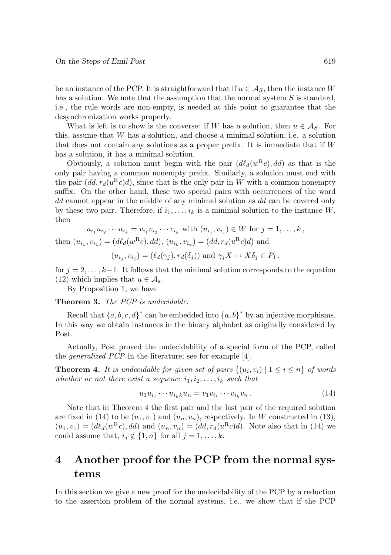be an instance of the PCP. It is straightforward that if  $u \in \mathcal{A}_{S}$ , then the instance W has a solution. We note that the assumption that the normal system  $S$  is standard, i.e., the rule words are non-empty, is needed at this point to guarantee that the desynchronization works properly.

What is left is to show is the converse: if W has a solution, then  $u \in \mathcal{A}_S$ . For this, assume that W has a solution, and choose a minimal solution, i.e. a solution that does not contain any solutions as a proper prefix. It is immediate that if  $W$ has a solution, it has a minimal solution.

Obviously, a solution must begin with the pair  $(d\ell_d(w^Rc), dd)$  as that is the only pair having a common nonempty prefix. Similarly, a solution must end with the pair  $(dd, r_d(u^Rc)d)$ , since that is the only pair in W with a common nonempty suffix. On the other hand, these two special pairs with occurrences of the word dd cannot appear in the middle of any minimal solution as dd can be covered only by these two pair. Therefore, if  $i_1,\ldots,i_k$  is a minimal solution to the instance W, then

$$
u_{i_1}u_{i_2}\cdots u_{i_k} = v_{i_1}v_{i_2}\cdots v_{i_k} \text{ with } (u_{i_j}, v_{i_j}) \in W \text{ for } j = 1, \ldots, k,
$$
  
then  $(u_{i_1}, v_{i_1}) = (d\ell_d(w^R c), dd), (u_{i_k}, v_{i_k}) = (dd, r_d(u^R c)d) \text{ and}$ 

$$
(u_{i_j}, v_{i_j}) = (\ell_d(\gamma_j), r_d(\delta_j))
$$
 and  $\gamma_j X \mapsto X \delta_j \in P_1$ ,

for  $j = 2, \ldots, k-1$ . It follows that the minimal solution corresponds to the equation (12) which implies that  $u \in \mathcal{A}_s$ .

By Proposition 1, we have

**Theorem 3.** The PCP is undecidable.

Recall that  $\{a, b, c, d\}^*$  can be embedded into  $\{a, b\}^*$  by an injective morphisms. In this way we obtain instances in the binary alphabet as originally considered by Post.

Actually, Post proved the undecidability of a special form of the PCP, called the generalized PCP in the literature; see for example [4].

**Theorem 4.** It is undecidable for given set of pairs  $\{(u_i, v_i) | 1 \leq i \leq n\}$  of words whether or not there exist a sequence  $i_1, i_2, \ldots, i_k$  such that

$$
u_1 u_{i_1} \cdots u_{i_k} u_n = v_1 v_{i_1} \cdots v_{i_k} v_n.
$$
\n(14)

Note that in Theorem 4 the first pair and the last pair of the required solution are fixed in (14) to be  $(u_1, v_1)$  and  $(u_n, v_n)$ , respectively. In W constructed in (13),  $(u_1, v_1)=(d\ell_d(w^Rc), dd)$  and  $(u_n, v_n)=(dd, r_d(u^Rc)d)$ . Note also that in (14) we could assume that,  $i_j \notin \{1, n\}$  for all  $j = 1, \ldots, k$ .

## **4 Another proof for the PCP from the normal systems**

In this section we give a new proof for the undecidability of the PCP by a reduction to the assertion problem of the normal systems, i.e., we show that if the PCP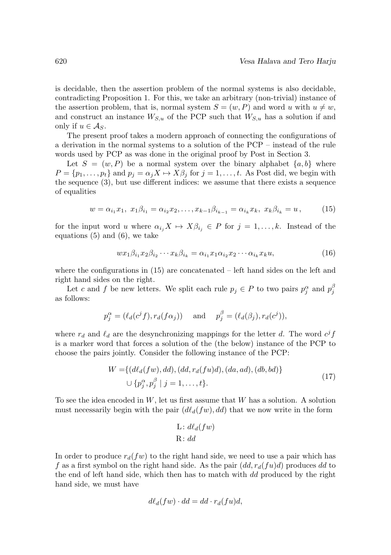is decidable, then the assertion problem of the normal systems is also decidable, contradicting Proposition 1. For this, we take an arbitrary (non-trivial) instance of the assertion problem, that is, normal system  $S = (w, P)$  and word u with  $u \neq w$ , and construct an instance  $W_{S,u}$  of the PCP such that  $W_{S,u}$  has a solution if and only if  $u \in \mathcal{A}_S$ .

The present proof takes a modern approach of connecting the configurations of a derivation in the normal systems to a solution of the PCP – instead of the rule words used by PCP as was done in the original proof by Post in Section 3.

Let  $S = (w, P)$  be a normal system over the binary alphabet  $\{a, b\}$  where  $P = \{p_1, \ldots, p_t\}$  and  $p_j = \alpha_j X \mapsto X\beta_j$  for  $j = 1, \ldots, t$ . As Post did, we begin with the sequence (3), but use different indices: we assume that there exists a sequence of equalities

$$
w = \alpha_{i_1} x_1, \ x_1 \beta_{i_1} = \alpha_{i_2} x_2, \dots, x_{k-1} \beta_{i_{k-1}} = \alpha_{i_k} x_k, \ x_k \beta_{i_k} = u \,, \tag{15}
$$

for the input word u where  $\alpha_{i_j} X \mapsto X \beta_{i_j} \in P$  for  $j = 1, \ldots, k$ . Instead of the equations (5) and (6), we take

$$
wx_1\beta_{i_1}x_2\beta_{i_2}\cdots x_k\beta_{i_k} = \alpha_{i_1}x_1\alpha_{i_2}x_2\cdots\alpha_{i_k}x_ku,
$$
\n(16)

where the configurations in  $(15)$  are concatenated – left hand sides on the left and right hand sides on the right.

Let c and f be new letters. We split each rule  $p_j \in P$  to two pairs  $p_j^{\alpha}$  and  $p_j^{\beta}$ as follows:

$$
p_j^{\alpha} = (\ell_d(c^j f), r_d(f\alpha_j))
$$
 and  $p_j^{\beta} = (\ell_d(\beta_j), r_d(c^j)),$ 

where  $r_d$  and  $\ell_d$  are the desynchronizing mappings for the letter d. The word  $c^j f$ is a marker word that forces a solution of the (the below) instance of the PCP to choose the pairs jointly. Consider the following instance of the PCP:

$$
W = \{ (d\ell_d(fw), dd), (dd, r_d(fu)d), (da, ad), (db, bd) \} \cup \{ p_j^{\alpha}, p_j^{\beta} \mid j = 1, ..., t \}.
$$
\n(17)

To see the idea encoded in  $W$ , let us first assume that  $W$  has a solution. A solution must necessarily begin with the pair  $(d\ell_d(fw), dd)$  that we now write in the form

$$
L: d\ell_d(fw)
$$
  

$$
R: dd
$$

In order to produce  $r_d(fw)$  to the right hand side, we need to use a pair which has f as a first symbol on the right hand side. As the pair  $(dd, r_d(fu)d)$  produces dd to the end of left hand side, which then has to match with dd produced by the right hand side, we must have

$$
d\ell_d(fw) \cdot dd = dd \cdot r_d(fu)d,
$$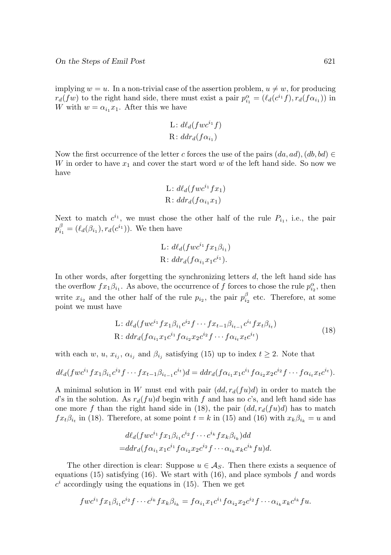implying  $w = u$ . In a non-trivial case of the assertion problem,  $u \neq w$ , for producing  $r_d(fw)$  to the right hand side, there must exist a pair  $p_{i_1}^{\alpha} = (\ell_d(c^{i_1}f), r_d(f\alpha_{i_1}))$  in W with  $w = \alpha_{i_1} x_1$ . After this we have

L: 
$$
d\ell_d(fwc^{i_1}f)
$$
  
R:  $ddr_d(f\alpha_{i_1})$ 

Now the first occurrence of the letter c forces the use of the pairs  $(da, ad), (db, bd) \in$  $W$  in order to have  $x_1$  and cover the start word  $w$  of the left hand side. So now we have

L: 
$$
d\ell_d(fwc^{i_1}fx_1)
$$
  
R:  $ddr_d(f\alpha_{i_1}x_1)$ 

Next to match  $c^{i_1}$ , we must chose the other half of the rule  $P_{i_1}$ , i.e., the pair  $p_{i_1}^{\beta} = (\ell_d(\beta_{i_1}), r_d(c^{i_1}))$ . We then have

L: 
$$
d\ell_d(fwc^{i_1}fx_1\beta_{i_1})
$$
  
\nR:  $ddr_d(f\alpha_{i_1}x_1c^{i_1})$ .

In other words, after forgetting the synchronizing letters d, the left hand side has the overflow  $fx_1\beta_{i_1}$ . As above, the occurrence of f forces to chose the rule  $p_{i_2}^{\alpha}$ , then write  $x_{i_2}$  and the other half of the rule  $p_{i_2}$ , the pair  $p_{i_2}^{\beta}$  etc. Therefore, at some point we must have

L: 
$$
d\ell_d(fwc^{i_1}fx_1\beta_{i_1}c^{i_2}f\cdots fx_{t-1}\beta_{i_{t-1}}c^{i_t}fx_t\beta_{i_t})
$$
  
R:  $ddr_d(f\alpha_{i_1}x_1c^{i_1}f\alpha_{i_2}x_2c^{i_2}f\cdots f\alpha_{i_t}x_tc^{i_t})$  (18)

with each w, u,  $x_{i_j}$ ,  $\alpha_{i_j}$  and  $\beta_{i_j}$  satisfying (15) up to index  $t \geq 2$ . Note that

$$
d\ell_d(fwc^{i_1}fx_1\beta_{i_1}c^{i_2}f\cdots fx_{t-1}\beta_{i_{t-1}}c^{i_t})d = ddr_d(f\alpha_{i_1}x_1c^{i_1}f\alpha_{i_2}x_2c^{i_2}f\cdots f\alpha_{i_t}x_tc^{i_t}).
$$

A minimal solution in W must end with pair  $(dd, r_d(fu)d)$  in order to match the d's in the solution. As  $r_d(fu)$ d begin with f and has no c's, and left hand side has one more f than the right hand side in (18), the pair  $(dd, r_d(fu)d)$  has to match  $fx_t\beta_{i_t}$  in (18). Therefore, at some point  $t = k$  in (15) and (16) with  $x_k\beta_{i_k} = u$  and

$$
d\ell_d(fw c^{i_1} f x_1 \beta_{i_1} c^{i_2} f \cdots c^{i_k} f x_k \beta_{i_k}) dd
$$
  
= 
$$
ddr_d(f \alpha_{i_1} x_1 c^{i_1} f \alpha_{i_2} x_2 c^{i_2} f \cdots \alpha_{i_k} x_k c^{i_k} f u) d.
$$

The other direction is clear: Suppose  $u \in A_S$ . Then there exists a sequence of equations (15) satisfying (16). We start with (16), and place symbols  $f$  and words  $c<sup>i</sup>$  accordingly using the equations in (15). Then we get

$$
fwc^{i_1}fx_1\beta_{i_1}c^{i_2}f\cdots c^{i_k}fx_k\beta_{i_k}=f\alpha_{i_1}x_1c^{i_1}f\alpha_{i_2}x_2c^{i_2}f\cdots\alpha_{i_k}x_kc^{i_k}fu.
$$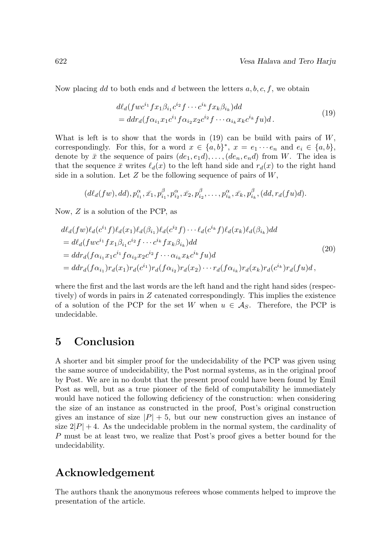Now placing dd to both ends and d between the letters  $a, b, c, f$ , we obtain

$$
d\ell_d(fwe^{i_1}fx_1\beta_{i_1}c^{i_2}f\cdots c^{i_k}fx_k\beta_{i_k})dd= ddra(f\alpha_{i_1}x_1c^{i_1}f\alpha_{i_2}x_2c^{i_2}f\cdots\alpha_{i_k}x_kc^{i_k}fu)d.
$$
\n
$$
(19)
$$

What is left is to show that the words in  $(19)$  can be build with pairs of W, correspondingly. For this, for a word  $x \in \{a, b\}^*, x = e_1 \cdots e_n$  and  $e_i \in \{a, b\}$ , denote by  $\bar{x}$  the sequence of pairs  $(de_1, e_1d), \ldots, (de_n, e_nd)$  from W. The idea is that the sequence  $\bar{x}$  writes  $\ell_d(x)$  to the left hand side and  $r_d(x)$  to the right hand side in a solution. Let  $Z$  be the following sequence of pairs of  $W$ ,

$$
(d\ell_d(fw), dd), p_{i_1}^{\alpha}, \bar{x_1}, p_{i_1}^{\beta}, p_{i_2}^{\alpha}, \bar{x_2}, p_{i_2}^{\beta}, \ldots, p_{i_k}^{\alpha}, \bar{x_k}, p_{i_k}^{\beta}, (dd, r_d(fu))d).
$$

Now, Z is a solution of the PCP, as

$$
d\ell_d(fw)\ell_d(c^{i_1}f)\ell_d(x_1)\ell_d(\beta_{i_1})\ell_d(c^{i_2}f)\cdots\ell_d(c^{i_k}f)\ell_d(x_k)\ell_d(\beta_{i_k})dd
$$
  
\n
$$
= d\ell_d(fwc^{i_1}fx_1\beta_{i_1}c^{i_2}f\cdots c^{i_k}fx_k\beta_{i_k})dd
$$
  
\n
$$
= ddr_d(f\alpha_{i_1}x_1c^{i_1}f\alpha_{i_2}x_2c^{i_2}f\cdots\alpha_{i_k}x_kc^{i_k}fu)d
$$
  
\n
$$
= ddr_d(f\alpha_{i_1})r_d(x_1)r_d(c^{i_1})r_d(f\alpha_{i_2})r_d(x_2)\cdots r_d(f\alpha_{i_k})r_d(x_k)r_d(c^{i_k})r_d(fu)d,
$$
\n(20)

where the first and the last words are the left hand and the right hand sides (respectively) of words in pairs in Z catenated correspondingly. This implies the existence of a solution of the PCP for the set W when  $u \in \mathcal{A}_S$ . Therefore, the PCP is undecidable.

#### **5 Conclusion**

A shorter and bit simpler proof for the undecidability of the PCP was given using the same source of undecidability, the Post normal systems, as in the original proof by Post. We are in no doubt that the present proof could have been found by Emil Post as well, but as a true pioneer of the field of computability he immediately would have noticed the following deficiency of the construction: when considering the size of an instance as constructed in the proof, Post's original construction gives an instance of size  $|P| + 5$ , but our new construction gives an instance of size  $2|P| + 4$ . As the undecidable problem in the normal system, the cardinality of P must be at least two, we realize that Post's proof gives a better bound for the undecidability.

### **Acknowledgement**

The authors thank the anonymous referees whose comments helped to improve the presentation of the article.